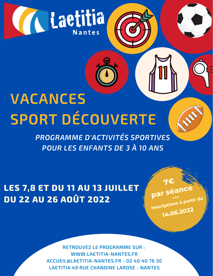

## **VACANCES SPORT DÉCOUVERTE**

*PROGRAMME D'ACTIVITÉS SPORTIVES POUR LES ENFANTS DE 3 À 10 ANS*

**LES 7,8 ET DU 11 AU 13 JUILLET DU 22 AU 26 AOÛT 2022**

> **RETROUVEZ LE PROGRAMME SUR : WWW.LAETITIA-NANTES.FR ACCUEIL@LAETITIA-NANTES.FR - 02 40 40 76 30 LAETITIA 49 RUE CHANOINE LAROSE - NANTES**

**Inscriptions <sup>à</sup> partir du**

**14.06.2022**

**7€**

**par** séan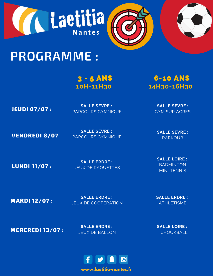





## **PROGRAMME :**

3 - 5 ANS **10H-11H30**

6-10 ANS **14H30-16H30**

**JEUDI 07/07 :**

**SALLE SEVRE :** PARCOURS GYMNIQUE

**VENDREDI 8/07**

**SALLE SEVRE :** PARCOURS GYMNIQUE

**SALLE SEVRE :** PARKOUR

**SALLE SEVRE :** GYM SUR AGRES

**LUNDI 11/07 :**

**SALLE ERDRE :** JEUX DE RAQUETTES **SALLE LOIRE : BADMINTON** MINI TENNIS

**MARDI 12/07 :**

**SALLE ERDRE :** JEUX DE COOPERATION **SALLE ERDRE :** ATHLETISME

**SALLE LOIRE : TCHOUKBALL** 

**MERCREDI 13/07 :**

**SALLE ERDRE :** JEUX DE BALLON



**www.laetitia-nantes.fr**